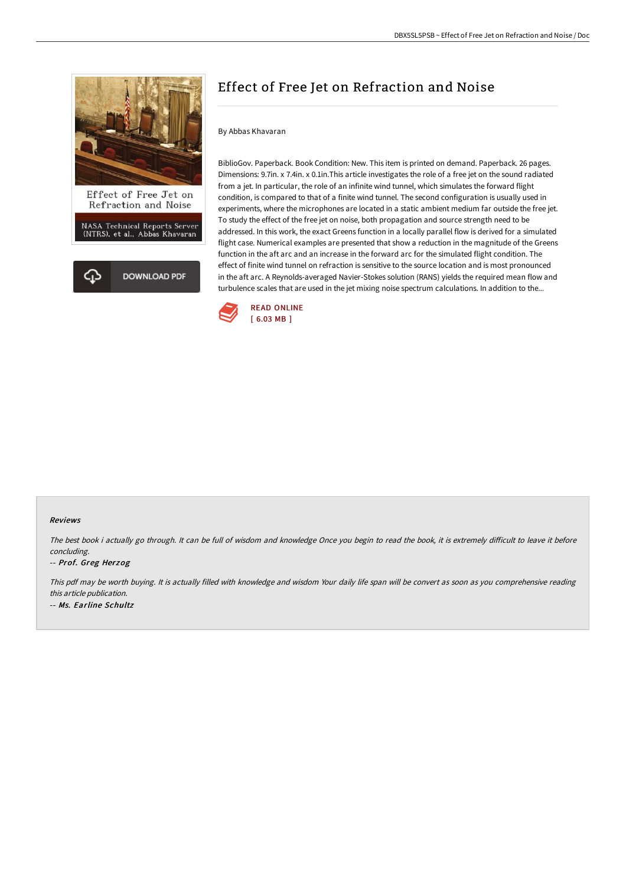

NASA Technical Reports Server<br>(NTRS), et al., Abbas Khavaran



# Effect of Free Jet on Refraction and Noise

### By Abbas Khavaran

BiblioGov. Paperback. Book Condition: New. This item is printed on demand. Paperback. 26 pages. Dimensions: 9.7in. x 7.4in. x 0.1in.This article investigates the role of a free jet on the sound radiated from a jet. In particular, the role of an infinite wind tunnel, which simulates the forward flight condition, is compared to that of a finite wind tunnel. The second configuration is usually used in experiments, where the microphones are located in a static ambient medium far outside the free jet. To study the effect of the free jet on noise, both propagation and source strength need to be addressed. In this work, the exact Greens function in a locally parallel flow is derived for a simulated flight case. Numerical examples are presented that show a reduction in the magnitude of the Greens function in the aft arc and an increase in the forward arc for the simulated flight condition. The effect of finite wind tunnel on refraction is sensitive to the source location and is most pronounced in the aft arc. A Reynolds-averaged Navier-Stokes solution (RANS) yields the required mean flow and turbulence scales that are used in the jet mixing noise spectrum calculations. In addition to the...



#### Reviews

The best book i actually go through. It can be full of wisdom and knowledge Once you begin to read the book, it is extremely difficult to leave it before concluding.

#### -- Prof. Greg Herzog

This pdf may be worth buying. It is actually filled with knowledge and wisdom Your daily life span will be convert as soon as you comprehensive reading this article publication. -- Ms. Earline Schultz